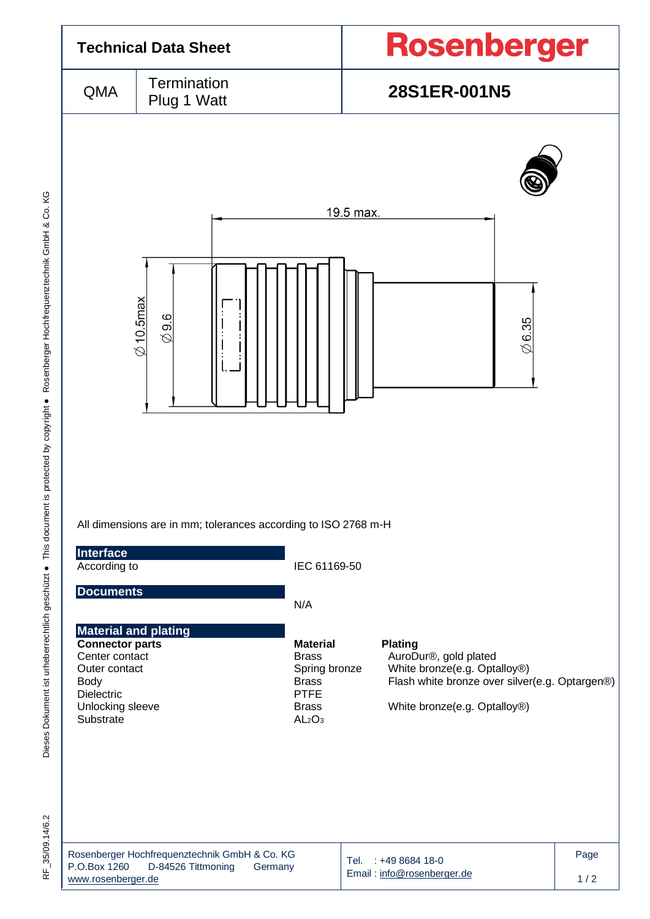

Dieses Dokument ist urheberrechtlich geschützt ● This document is protected by copyright ● Rosenberger Hochfrequenztechnik GmbH & Co. KG F\_35/09.14/6.2 Dieses Dokument ist urheberrechtlich geschützt ● This document is protected by copyright ● Rosenberger Hochfrequenztechnik GmbH & Co. KG

RF 35/09.14/6.2